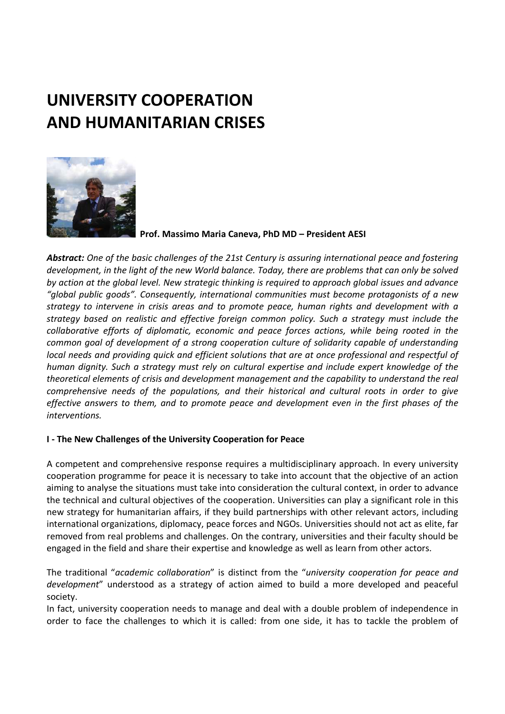# **UNIVERSITY COOPERATION AND HUMANITARIAN CRISES**



 **Prof. Massimo Maria Caneva, PhD MD – President AESI** 

*Abstract: One of the basic challenges of the 21st Century is assuring international peace and fostering development, in the light of the new World balance. Today, there are problems that can only be solved by action at the global level. New strategic thinking is required to approach global issues and advance "global public goods". Consequently, international communities must become protagonists of a new strategy to intervene in crisis areas and to promote peace, human rights and development with a strategy based on realistic and effective foreign common policy. Such a strategy must include the collaborative efforts of diplomatic, economic and peace forces actions, while being rooted in the common goal of development of a strong cooperation culture of solidarity capable of understanding local needs and providing quick and efficient solutions that are at once professional and respectful of human dignity. Such a strategy must rely on cultural expertise and include expert knowledge of the theoretical elements of crisis and development management and the capability to understand the real comprehensive needs of the populations, and their historical and cultural roots in order to give effective answers to them, and to promote peace and development even in the first phases of the interventions.* 

## **I - The New Challenges of the University Cooperation for Peace**

A competent and comprehensive response requires a multidisciplinary approach. In every university cooperation programme for peace it is necessary to take into account that the objective of an action aiming to analyse the situations must take into consideration the cultural context, in order to advance the technical and cultural objectives of the cooperation. Universities can play a significant role in this new strategy for humanitarian affairs, if they build partnerships with other relevant actors, including international organizations, diplomacy, peace forces and NGOs. Universities should not act as elite, far removed from real problems and challenges. On the contrary, universities and their faculty should be engaged in the field and share their expertise and knowledge as well as learn from other actors.

The traditional "*academic collaboration*" is distinct from the "*university cooperation for peace and development*" understood as a strategy of action aimed to build a more developed and peaceful society.

In fact, university cooperation needs to manage and deal with a double problem of independence in order to face the challenges to which it is called: from one side, it has to tackle the problem of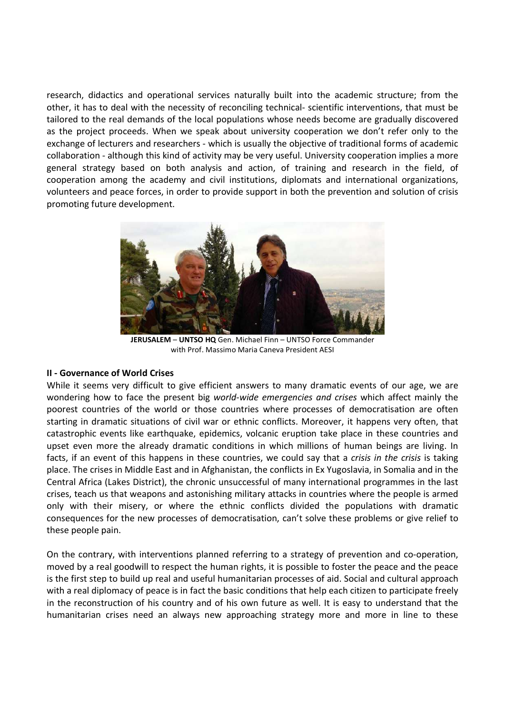research, didactics and operational services naturally built into the academic structure; from the other, it has to deal with the necessity of reconciling technical- scientific interventions, that must be tailored to the real demands of the local populations whose needs become are gradually discovered as the project proceeds. When we speak about university cooperation we don't refer only to the exchange of lecturers and researchers - which is usually the objective of traditional forms of academic collaboration - although this kind of activity may be very useful. University cooperation implies a more general strategy based on both analysis and action, of training and research in the field, of cooperation among the academy and civil institutions, diplomats and international organizations, volunteers and peace forces, in order to provide support in both the prevention and solution of crisis promoting future development.



**JERUSALEM** – **UNTSO HQ** Gen. Michael Finn – UNTSO Force Commander with Prof. Massimo Maria Caneva President AESI

#### **II - Governance of World Crises**

While it seems very difficult to give efficient answers to many dramatic events of our age, we are wondering how to face the present big *world-wide emergencies and crises* which affect mainly the poorest countries of the world or those countries where processes of democratisation are often starting in dramatic situations of civil war or ethnic conflicts. Moreover, it happens very often, that catastrophic events like earthquake, epidemics, volcanic eruption take place in these countries and upset even more the already dramatic conditions in which millions of human beings are living. In facts, if an event of this happens in these countries, we could say that a *crisis in the crisis* is taking place. The crises in Middle East and in Afghanistan, the conflicts in Ex Yugoslavia, in Somalia and in the Central Africa (Lakes District), the chronic unsuccessful of many international programmes in the last crises, teach us that weapons and astonishing military attacks in countries where the people is armed only with their misery, or where the ethnic conflicts divided the populations with dramatic consequences for the new processes of democratisation, can't solve these problems or give relief to these people pain.

On the contrary, with interventions planned referring to a strategy of prevention and co-operation, moved by a real goodwill to respect the human rights, it is possible to foster the peace and the peace is the first step to build up real and useful humanitarian processes of aid. Social and cultural approach with a real diplomacy of peace is in fact the basic conditions that help each citizen to participate freely in the reconstruction of his country and of his own future as well. It is easy to understand that the humanitarian crises need an always new approaching strategy more and more in line to these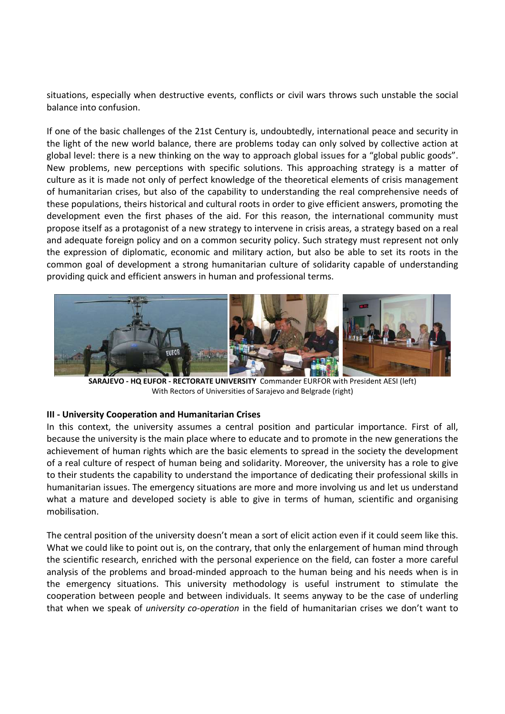situations, especially when destructive events, conflicts or civil wars throws such unstable the social balance into confusion.

If one of the basic challenges of the 21st Century is, undoubtedly, international peace and security in the light of the new world balance, there are problems today can only solved by collective action at global level: there is a new thinking on the way to approach global issues for a "global public goods". New problems, new perceptions with specific solutions. This approaching strategy is a matter of culture as it is made not only of perfect knowledge of the theoretical elements of crisis management of humanitarian crises, but also of the capability to understanding the real comprehensive needs of these populations, theirs historical and cultural roots in order to give efficient answers, promoting the development even the first phases of the aid. For this reason, the international community must propose itself as a protagonist of a new strategy to intervene in crisis areas, a strategy based on a real and adequate foreign policy and on a common security policy. Such strategy must represent not only the expression of diplomatic, economic and military action, but also be able to set its roots in the common goal of development a strong humanitarian culture of solidarity capable of understanding providing quick and efficient answers in human and professional terms.



**SARAJEVO - HQ EUFOR - RECTORATE UNIVERSITY** Commander EURFOR with President AESI (left) With Rectors of Universities of Sarajevo and Belgrade (right)

## **III - University Cooperation and Humanitarian Crises**

In this context, the university assumes a central position and particular importance. First of all, because the university is the main place where to educate and to promote in the new generations the achievement of human rights which are the basic elements to spread in the society the development of a real culture of respect of human being and solidarity. Moreover, the university has a role to give to their students the capability to understand the importance of dedicating their professional skills in humanitarian issues. The emergency situations are more and more involving us and let us understand what a mature and developed society is able to give in terms of human, scientific and organising mobilisation.

The central position of the university doesn't mean a sort of elicit action even if it could seem like this. What we could like to point out is, on the contrary, that only the enlargement of human mind through the scientific research, enriched with the personal experience on the field, can foster a more careful analysis of the problems and broad-minded approach to the human being and his needs when is in the emergency situations. This university methodology is useful instrument to stimulate the cooperation between people and between individuals. It seems anyway to be the case of underling that when we speak of *university co-operation* in the field of humanitarian crises we don't want to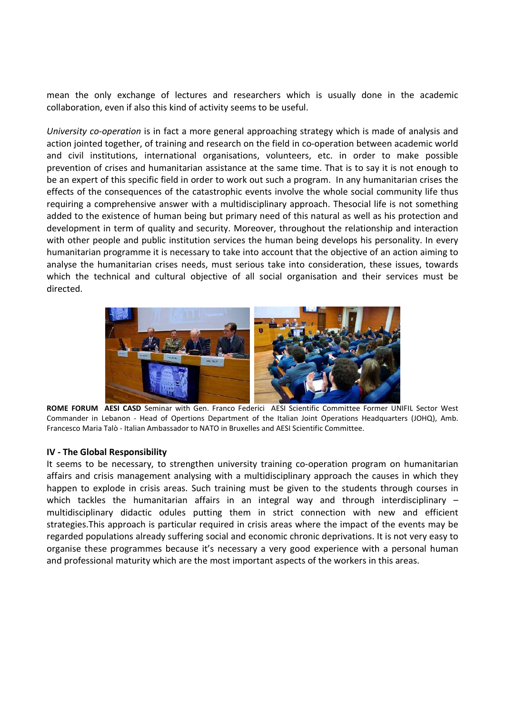mean the only exchange of lectures and researchers which is usually done in the academic collaboration, even if also this kind of activity seems to be useful.

*University co-operation* is in fact a more general approaching strategy which is made of analysis and action jointed together, of training and research on the field in co-operation between academic world and civil institutions, international organisations, volunteers, etc. in order to make possible prevention of crises and humanitarian assistance at the same time. That is to say it is not enough to be an expert of this specific field in order to work out such a program. In any humanitarian crises the effects of the consequences of the catastrophic events involve the whole social community life thus requiring a comprehensive answer with a multidisciplinary approach. Thesocial life is not something added to the existence of human being but primary need of this natural as well as his protection and development in term of quality and security. Moreover, throughout the relationship and interaction with other people and public institution services the human being develops his personality. In every humanitarian programme it is necessary to take into account that the objective of an action aiming to analyse the humanitarian crises needs, must serious take into consideration, these issues, towards which the technical and cultural objective of all social organisation and their services must be directed.



**ROME FORUM AESI CASD** Seminar with Gen. Franco Federici AESI Scientific Committee Former UNIFIL Sector West Commander in Lebanon - Head of Opertions Department of the Italian Joint Operations Headquarters (JOHQ), Amb. Francesco Maria Talò - Italian Ambassador to NATO in Bruxelles and AESI Scientific Committee.

#### **IV - The Global Responsibility**

It seems to be necessary, to strengthen university training co-operation program on humanitarian affairs and crisis management analysing with a multidisciplinary approach the causes in which they happen to explode in crisis areas. Such training must be given to the students through courses in which tackles the humanitarian affairs in an integral way and through interdisciplinary – multidisciplinary didactic odules putting them in strict connection with new and efficient strategies.This approach is particular required in crisis areas where the impact of the events may be regarded populations already suffering social and economic chronic deprivations. It is not very easy to organise these programmes because it's necessary a very good experience with a personal human and professional maturity which are the most important aspects of the workers in this areas.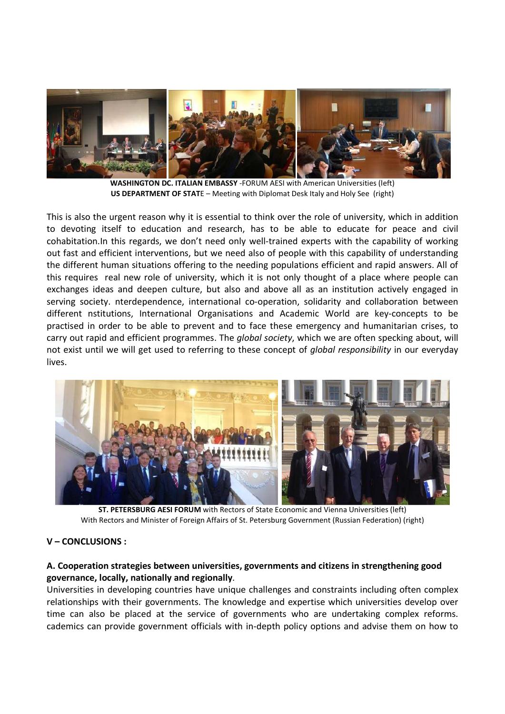

**WASHINGTON DC. ITALIAN EMBASSY** -FORUM AESI with American Universities (left) **US DEPARTMENT OF STAT**E – Meeting with Diplomat Desk Italy and Holy See (right)

This is also the urgent reason why it is essential to think over the role of university, which in addition to devoting itself to education and research, has to be able to educate for peace and civil cohabitation.In this regards, we don't need only well-trained experts with the capability of working out fast and efficient interventions, but we need also of people with this capability of understanding the different human situations offering to the needing populations efficient and rapid answers. All of this requires real new role of university, which it is not only thought of a place where people can exchanges ideas and deepen culture, but also and above all as an institution actively engaged in serving society. nterdependence, international co-operation, solidarity and collaboration between different nstitutions, International Organisations and Academic World are key-concepts to be practised in order to be able to prevent and to face these emergency and humanitarian crises, to carry out rapid and efficient programmes. The *global society*, which we are often specking about, will not exist until we will get used to referring to these concept of *global responsibility* in our everyday lives.



**ST. PETERSBURG AESI FORUM** with Rectors of State Economic and Vienna Universities (left) With Rectors and Minister of Foreign Affairs of St. Petersburg Government (Russian Federation) (right)

# **V – CONCLUSIONS :**

## **A. Cooperation strategies between universities, governments and citizens in strengthening good governance, locally, nationally and regionally**.

Universities in developing countries have unique challenges and constraints including often complex relationships with their governments. The knowledge and expertise which universities develop over time can also be placed at the service of governments who are undertaking complex reforms. cademics can provide government officials with in-depth policy options and advise them on how to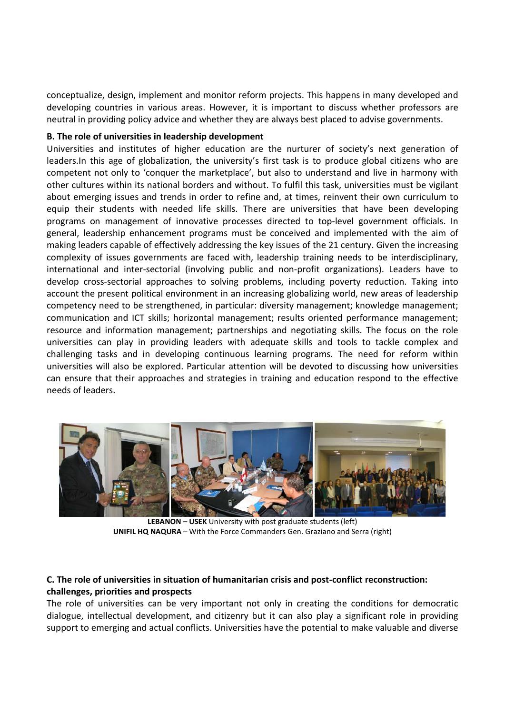conceptualize, design, implement and monitor reform projects. This happens in many developed and developing countries in various areas. However, it is important to discuss whether professors are neutral in providing policy advice and whether they are always best placed to advise governments.

## **B. The role of universities in leadership development**

Universities and institutes of higher education are the nurturer of society's next generation of leaders.In this age of globalization, the university's first task is to produce global citizens who are competent not only to 'conquer the marketplace', but also to understand and live in harmony with other cultures within its national borders and without. To fulfil this task, universities must be vigilant about emerging issues and trends in order to refine and, at times, reinvent their own curriculum to equip their students with needed life skills. There are universities that have been developing programs on management of innovative processes directed to top-level government officials. In general, leadership enhancement programs must be conceived and implemented with the aim of making leaders capable of effectively addressing the key issues of the 21 century. Given the increasing complexity of issues governments are faced with, leadership training needs to be interdisciplinary, international and inter-sectorial (involving public and non-profit organizations). Leaders have to develop cross-sectorial approaches to solving problems, including poverty reduction. Taking into account the present political environment in an increasing globalizing world, new areas of leadership competency need to be strengthened, in particular: diversity management; knowledge management; communication and ICT skills; horizontal management; results oriented performance management; resource and information management; partnerships and negotiating skills. The focus on the role universities can play in providing leaders with adequate skills and tools to tackle complex and challenging tasks and in developing continuous learning programs. The need for reform within universities will also be explored. Particular attention will be devoted to discussing how universities can ensure that their approaches and strategies in training and education respond to the effective needs of leaders.



**LEBANON – USEK** University with post graduate students (left) **UNIFIL HQ NAQURA** – With the Force Commanders Gen. Graziano and Serra (right)

## **C. The role of universities in situation of humanitarian crisis and post-conflict reconstruction: challenges, priorities and prospects**

The role of universities can be very important not only in creating the conditions for democratic dialogue, intellectual development, and citizenry but it can also play a significant role in providing support to emerging and actual conflicts. Universities have the potential to make valuable and diverse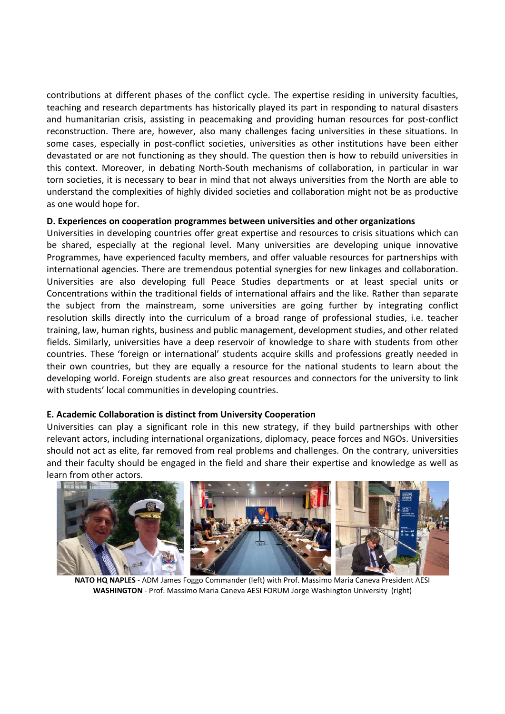contributions at different phases of the conflict cycle. The expertise residing in university faculties, teaching and research departments has historically played its part in responding to natural disasters and humanitarian crisis, assisting in peacemaking and providing human resources for post-conflict reconstruction. There are, however, also many challenges facing universities in these situations. In some cases, especially in post-conflict societies, universities as other institutions have been either devastated or are not functioning as they should. The question then is how to rebuild universities in this context. Moreover, in debating North-South mechanisms of collaboration, in particular in war torn societies, it is necessary to bear in mind that not always universities from the North are able to understand the complexities of highly divided societies and collaboration might not be as productive as one would hope for.

## **D. Experiences on cooperation programmes between universities and other organizations**

Universities in developing countries offer great expertise and resources to crisis situations which can be shared, especially at the regional level. Many universities are developing unique innovative Programmes, have experienced faculty members, and offer valuable resources for partnerships with international agencies. There are tremendous potential synergies for new linkages and collaboration. Universities are also developing full Peace Studies departments or at least special units or Concentrations within the traditional fields of international affairs and the like. Rather than separate the subject from the mainstream, some universities are going further by integrating conflict resolution skills directly into the curriculum of a broad range of professional studies, i.e. teacher training, law, human rights, business and public management, development studies, and other related fields. Similarly, universities have a deep reservoir of knowledge to share with students from other countries. These 'foreign or international' students acquire skills and professions greatly needed in their own countries, but they are equally a resource for the national students to learn about the developing world. Foreign students are also great resources and connectors for the university to link with students' local communities in developing countries.

## **E. Academic Collaboration is distinct from University Cooperation**

Universities can play a significant role in this new strategy, if they build partnerships with other relevant actors, including international organizations, diplomacy, peace forces and NGOs. Universities should not act as elite, far removed from real problems and challenges. On the contrary, universities and their faculty should be engaged in the field and share their expertise and knowledge as well as learn from other actors.



**NATO HQ NAPLES** - ADM James Foggo Commander (left) with Prof. Massimo Maria Caneva President AESI **WASHINGTON** - Prof. Massimo Maria Caneva AESI FORUM Jorge Washington University (right)